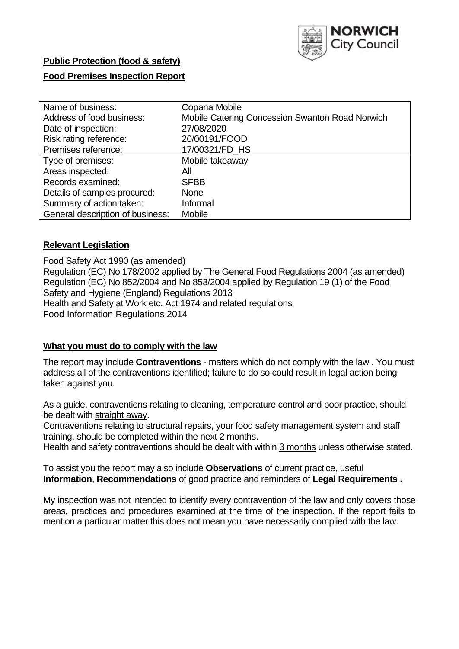

#### **Public Protection (food & safety)**

#### **Food Premises Inspection Report**

| Name of business:                | Copana Mobile                                   |
|----------------------------------|-------------------------------------------------|
| Address of food business:        | Mobile Catering Concession Swanton Road Norwich |
| Date of inspection:              | 27/08/2020                                      |
| Risk rating reference:           | 20/00191/FOOD                                   |
| Premises reference:              | 17/00321/FD HS                                  |
| Type of premises:                | Mobile takeaway                                 |
| Areas inspected:                 | All                                             |
| Records examined:                | <b>SFBB</b>                                     |
| Details of samples procured:     | <b>None</b>                                     |
| Summary of action taken:         | Informal                                        |
| General description of business: | <b>Mobile</b>                                   |

#### **Relevant Legislation**

 Food Safety Act 1990 (as amended) Regulation (EC) No 178/2002 applied by The General Food Regulations 2004 (as amended) Regulation (EC) No 852/2004 and No 853/2004 applied by Regulation 19 (1) of the Food Safety and Hygiene (England) Regulations 2013 Health and Safety at Work etc. Act 1974 and related regulations Food Information Regulations 2014

#### **What you must do to comply with the law**

 The report may include **Contraventions** - matters which do not comply with the law . You must address all of the contraventions identified; failure to do so could result in legal action being taken against you.

 As a guide, contraventions relating to cleaning, temperature control and poor practice, should be dealt with straight away.

 Contraventions relating to structural repairs, your food safety management system and staff training, should be completed within the next 2 months.

Health and safety contraventions should be dealt with within 3 months unless otherwise stated.

 To assist you the report may also include **Observations** of current practice, useful **Information**, **Recommendations** of good practice and reminders of **Legal Requirements .** 

 My inspection was not intended to identify every contravention of the law and only covers those areas, practices and procedures examined at the time of the inspection. If the report fails to mention a particular matter this does not mean you have necessarily complied with the law.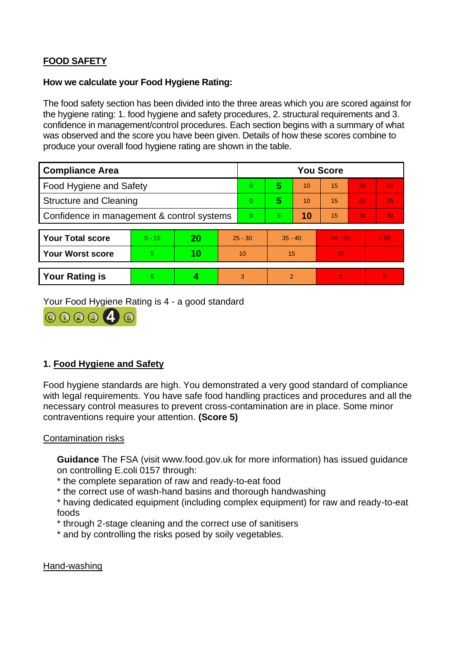## **FOOD SAFETY**

#### **How we calculate your Food Hygiene Rating:**

 The food safety section has been divided into the three areas which you are scored against for the hygiene rating: 1. food hygiene and safety procedures, 2. structural requirements and 3. confidence in management/control procedures. Each section begins with a summary of what was observed and the score you have been given. Details of how these scores combine to produce your overall food hygiene rating are shown in the table.

| <b>Compliance Area</b>                     |          |    |           | <b>You Score</b> |                |    |           |    |                |  |  |
|--------------------------------------------|----------|----|-----------|------------------|----------------|----|-----------|----|----------------|--|--|
| Food Hygiene and Safety                    |          |    |           | $\Omega$         | 5              | 10 | 15        | 20 | 25             |  |  |
| <b>Structure and Cleaning</b>              |          |    |           | $\Omega$         | 5              | 10 | 15        | 20 | 25             |  |  |
| Confidence in management & control systems |          |    | $\Omega$  | $\overline{5}$   | 10             | 15 | 20        | 30 |                |  |  |
|                                            |          |    |           |                  |                |    |           |    |                |  |  |
| <b>Your Total score</b>                    | $0 - 15$ | 20 | $25 - 30$ |                  | $35 - 40$      |    | $45 - 50$ |    | > 50           |  |  |
| Your Worst score                           | 5.       | 10 | 10        |                  | 15             |    | 20        |    | $\blacksquare$ |  |  |
|                                            |          |    |           |                  |                |    |           |    |                |  |  |
| <b>Your Rating is</b>                      | 5        |    |           | 3                | $\overline{2}$ |    |           |    | $\Omega$       |  |  |

Your Food Hygiene Rating is 4 - a good standard



## **1. Food Hygiene and Safety**

 with legal requirements. You have safe food handling practices and procedures and all the Food hygiene standards are high. You demonstrated a very good standard of compliance necessary control measures to prevent cross-contamination are in place. Some minor contraventions require your attention. **(Score 5)** 

Contamination risks

 **Guidance** The FSA (visit <www.food.gov.uk> for more information) has issued guidance on controlling E.coli 0157 through:

\* the complete separation of raw and ready-to-eat food

\* the correct use of wash-hand basins and thorough handwashing

\* having dedicated equipment (including complex equipment) for raw and ready-to-eat foods

\* through 2-stage cleaning and the correct use of sanitisers

\* and by controlling the risks posed by soily vegetables.

Hand-washing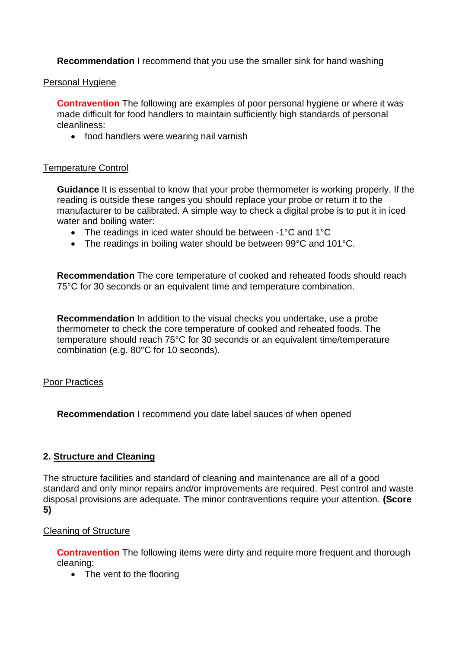**Recommendation** I recommend that you use the smaller sink for hand washing

#### Personal Hygiene

 made difficult for food handlers to maintain sufficiently high standards of personal **Contravention** The following are examples of poor personal hygiene or where it was cleanliness:

• food handlers were wearing nail varnish

## Temperature Control

**Guidance** It is essential to know that your probe thermometer is working properly. If the reading is outside these ranges you should replace your probe or return it to the manufacturer to be calibrated. A simple way to check a digital probe is to put it in iced water and boiling water:

- The readings in iced water should be between -1°C and 1°C
- The readings in boiling water should be between 99°C and 101°C.

**Recommendation** The core temperature of cooked and reheated foods should reach 75°C for 30 seconds or an equivalent time and temperature combination.

**Recommendation** In addition to the visual checks you undertake, use a probe thermometer to check the core temperature of cooked and reheated foods. The temperature should reach 75°C for 30 seconds or an equivalent time/temperature combination (e.g. 80°C for 10 seconds).

#### Poor Practices

**Recommendation** I recommend you date label sauces of when opened

# **2. Structure and Cleaning**

The structure facilities and standard of cleaning and maintenance are all of a good standard and only minor repairs and/or improvements are required. Pest control and waste disposal provisions are adequate. The minor contraventions require your attention. **(Score 5)** 

# Cleaning of Structure

**Contravention** The following items were dirty and require more frequent and thorough cleaning:

• The vent to the flooring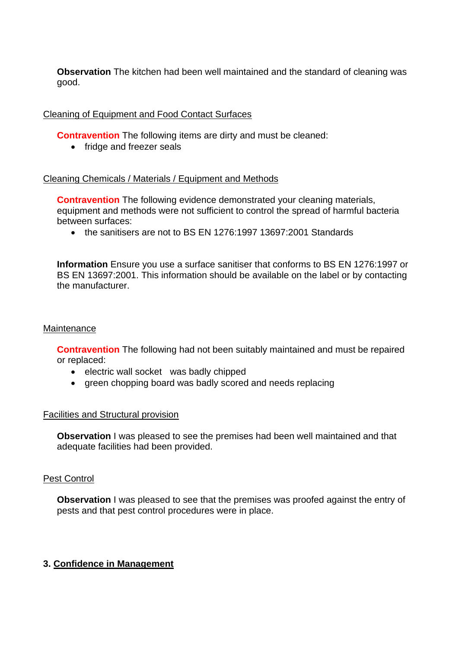**Observation** The kitchen had been well maintained and the standard of cleaning was good.

#### Cleaning of Equipment and Food Contact Surfaces

**Contravention** The following items are dirty and must be cleaned:

• fridge and freezer seals

#### Cleaning Chemicals / Materials / Equipment and Methods

**Contravention** The following evidence demonstrated your cleaning materials, equipment and methods were not sufficient to control the spread of harmful bacteria between surfaces:

• the sanitisers are not to BS EN 1276:1997 13697:2001 Standards

**Information** Ensure you use a surface sanitiser that conforms to BS EN 1276:1997 or BS EN 13697:2001. This information should be available on the label or by contacting the manufacturer.

#### **Maintenance**

**Contravention** The following had not been suitably maintained and must be repaired or replaced:

- electric wall socket was badly chipped
- green chopping board was badly scored and needs replacing

#### Facilities and Structural provision

 **Observation** I was pleased to see the premises had been well maintained and that adequate facilities had been provided.

#### Pest Control

**Observation** I was pleased to see that the premises was proofed against the entry of pests and that pest control procedures were in place.

#### **3. Confidence in Management**